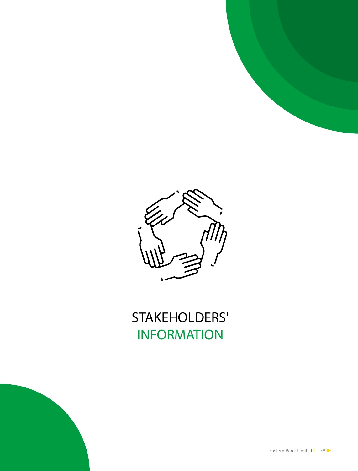



# **STAKEHOLDERS' INFORMATION**

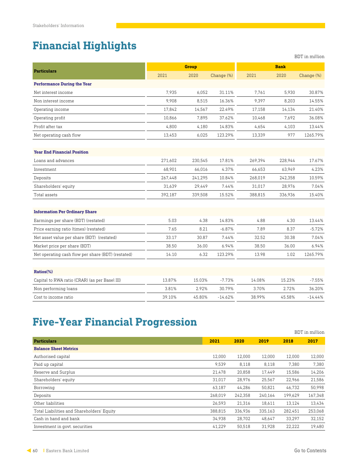## **Financial Highlights**

|                                                    |         |              |            |         |             | <b>BDT</b> in million |
|----------------------------------------------------|---------|--------------|------------|---------|-------------|-----------------------|
|                                                    |         | <b>Group</b> |            |         | <b>Bank</b> |                       |
| <b>Particulars</b>                                 | 2021    | 2020         | Change (%) | 2021    | 2020        | Change (%)            |
| <b>Performance During the Year</b>                 |         |              |            |         |             |                       |
| Net interest income                                | 7,935   | 6,052        | 31.11%     | 7,761   | 5,930       | 30.87%                |
| Non interest income                                | 9.908   | 8.515        | 16.36%     | 9.397   | 8,203       | 14.55%                |
| Operating income                                   | 17,842  | 14,567       | 22.49%     | 17,158  | 14,134      | 21.40%                |
| Operating profit                                   | 10,866  | 7,895        | 37.62%     | 10,468  | 7,692       | 36.08%                |
| Profit after tax                                   | 4,800   | 4,180        | 14.83%     | 4,654   | 4,103       | 13.44%                |
| Net operating cash flow                            | 13,453  | 6,025        | 123.29%    | 13,339  | 977         | 1265.79%              |
| <b>Year End Financial Position</b>                 |         |              |            |         |             |                       |
| Loans and advances                                 | 271,602 | 230,545      | 17.81%     | 269,394 | 228,944     | 17.67%                |
| Investment                                         | 68,901  | 66,016       | 4.37%      | 66.653  | 63.949      | 4.23%                 |
| Deposits                                           | 267,448 | 241,295      | 10.84%     | 268,019 | 242,358     | 10.59%                |
| Shareholders' equity                               | 31,639  | 29,449       | 7.44%      | 31,017  | 28,976      | 7.04%                 |
| Total assets                                       | 392,187 | 339,508      | 15.52%     | 388,815 | 336,936     | 15.40%                |
| <b>Information Per Ordinary Share</b>              |         |              |            |         |             |                       |
| Earmings per share (BDT) (restated)                | 5.03    | 4.38         | 14.83%     | 4.88    | 4.30        | 13.44%                |
| Price earning ratio (times) (restated)             | 7.65    | 8.21         | $-6.87%$   | 7.89    | 8.37        | $-5.72%$              |
| Net asset value per share (BDT) (restated)         | 33.17   | 30.87        | 7.44%      | 32.52   | 30.38       | 7.04%                 |
| Market price per share (BDT)                       | 38.50   | 36.00        | 6.94%      | 38.50   | 36.00       | 6.94%                 |
| Net operating cash flow per share (BDT) (restated) | 14.10   | 6.32         | 123.29%    | 13.98   | 1.02        | 1265.79%              |
| Ratios(%)                                          |         |              |            |         |             |                       |
| Capital to RWA ratio (CRAR) (as per Basel III)     | 13.87%  | 15.03%       | $-7.73%$   | 14.08%  | 15.23%      | $-7.55%$              |
| Non performing loans                               | 3.81%   | 2.92%        | 30.79%     | 3.70%   | 2.72%       | 36.20%                |
| Cost to income ratio                               | 39.10%  | 45.80%       | $-14.62%$  | 38.99%  | 45.58%      | $-14.44%$             |

## **Five-Year Financial Progression**

|                                            |         |         |         |         | BDT in million |
|--------------------------------------------|---------|---------|---------|---------|----------------|
| <b>Particulars</b>                         | 2021    | 2020    | 2019    | 2018    | 2017           |
| <b>Balance Sheet Metrics</b>               |         |         |         |         |                |
| Authorised capital                         | 12,000  | 12.000  | 12,000  | 12,000  | 12,000         |
| Paid up capital                            | 9,539   | 8,118   | 8,118   | 7,380   | 7,380          |
| Reserve and Surplus                        | 21,478  | 20,858  | 17.449  | 15,586  | 14,206         |
| Shareholders' equity                       | 31,017  | 28.976  | 25.567  | 22.966  | 21,586         |
| Borrowing                                  | 63,187  | 44.286  | 50.821  | 46.732  | 50,998         |
| Deposits                                   | 268,019 | 242,358 | 240,164 | 199.629 | 167,348        |
| Other liabilities                          | 26,593  | 21,316  | 18,611  | 13,124  | 13,434         |
| Total Liabilities and Shareholders' Equity | 388,815 | 336,936 | 335,163 | 282,451 | 253,068        |
| Cash in hand and bank                      | 34,938  | 28,702  | 48,647  | 33,297  | 32,152         |
| Investment in govt. securities             | 41,229  | 50,518  | 31.928  | 22.222  | 19.480         |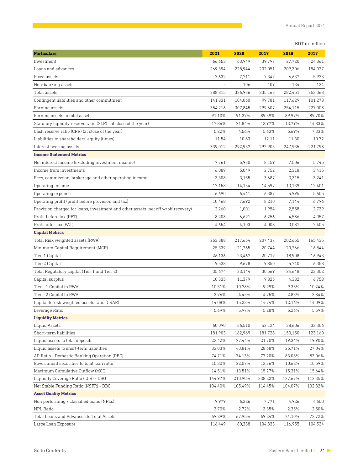BDT in million

| <b>Particulars</b>                                                                | 2021    | 2020    | 2019    | 2018    | 2017    |
|-----------------------------------------------------------------------------------|---------|---------|---------|---------|---------|
| Investment                                                                        | 66,653  | 63,949  | 39,797  | 27,720  | 24,361  |
| Loans and advances                                                                | 269,394 | 228,944 | 232,051 | 209,306 | 184,027 |
| Fixed assets                                                                      | 7,632   | 7,711   | 7,349   | 6,637   | 5,923   |
| Non-banking assets                                                                |         | 106     | 109     | 134     | 134     |
| Total assets                                                                      | 388,815 | 336,936 | 335,163 | 282,451 | 253,068 |
| Contingent liabilities and other commitment                                       | 141,831 | 104,060 | 99,781  | 117,629 | 101,278 |
| Earning assets                                                                    | 354,216 | 307,845 | 299,607 | 254,115 | 227,008 |
| Earning assets to total assets                                                    | 91.10%  | 91.37%  | 89.39%  | 89.97%  | 89.70%  |
| Statutory liquidity reserve ratio (SLR) (at close of the year)                    | 17.86%  | 21.84%  | 13.97%  | 13.79%  | 14.83%  |
| Cash reserve ratio (CRR) (at close of the year)                                   | 5.22%   | 4.56%   | 5.63%   | 5.69%   | 7.33%   |
| Liabilities to shareholders' equity (times)                                       | 11.54   | 10.63   | 12.11   | 11.30   | 10.72   |
| Interest bearing assets                                                           | 339,012 | 292,937 | 292,905 | 247,935 | 221,798 |
| <b>Income Statement Metrics</b>                                                   |         |         |         |         |         |
| Net interest income (excluding investment income)                                 | 7,761   | 5,930   | 8,159   | 7,506   | 5,745   |
| Income from investments                                                           | 6,089   | 5,049   | 2,752   | 2,318   | 3,415   |
| Fees, commission, brokerage and other operating income                            | 3,308   | 3,155   | 3,687   | 3,315   | 3,241   |
| Operating income                                                                  | 17,158  | 14,134  | 14,597  | 13,139  | 12,401  |
| Operating expense                                                                 | 6,690   | 6,441   | 6,387   | 5,995   | 5,605   |
| Operating profit (profit before provision and tax)                                | 10,468  | 7,692   | 8,210   | 7,144   | 6,796   |
| Provision charged for loans, investment and other assets (net off w/off recovery) | 2,260   | 1,001   | 1,954   | 2,558   | 2,739   |
| Profit before tax (PBT)                                                           | 8,208   | 6,691   | 6,256   | 4,586   | 4,057   |
| Profit after tax (PAT)                                                            | 4,654   | 4,103   | 4,008   | 3,081   | 2,405   |
| <b>Capital Metrics</b>                                                            |         |         |         |         |         |
| Total Risk weighted assets (RWA)                                                  | 253,388 | 217,654 | 207,437 | 202,655 | 165,435 |
| Minimum Capital Requirement (MCR)                                                 | 25,339  | 21,765  | 20,744  | 20,266  | 16,544  |
| Tier-1 Capital                                                                    | 26,136  | 23,467  | 20,719  | 18,908  | 16,943  |
| Tier-2 Capital                                                                    | 9,538   | 9,678   | 9,850   | 5,740   | 6,358   |
| Total Regulatory capital (Tier 1 and Tier 2)                                      | 35,674  | 33,144  | 30,569  | 24,648  | 23,302  |
| Capital surplus                                                                   | 10,335  | 11,379  | 9,825   | 4,382   | 6,758   |
| Tier - 1 Capital to RWA                                                           | 10.31%  | 10.78%  | 9.99%   | 9.33%   | 10.24%  |
| Tier - 2 Capital to RWA                                                           | 3.76%   | 4.45%   | 4.75%   | 2.83%   | 3.84%   |
| Capital to risk weighted assets ratio (CRAR)                                      | 14.08%  | 15.23%  | 14.74%  | 12.16%  | 14.09%  |
| Leverage Ratio                                                                    | 5.69%   | 5.97%   | 5.28%   | 5.26%   | 5.59%   |
| <b>Liquidity Metrics</b>                                                          |         |         |         |         |         |
| Liquid Assets                                                                     | 60,090  | 66,510  | 52,124  | 38,606  | 33,306  |
| Short-term liabilities                                                            | 181,903 | 162,969 | 181,728 | 150,150 | 123,160 |
| Liquid assets to total deposits                                                   | 22.42%  | 27.44%  | 21.70%  | 19.34%  | 19.90%  |
| Liquid assets to short-term liabilities                                           | 33.03%  | 40.81%  | 28.68%  | 25.71%  | 27.04%  |
| AD Ratio - Domestic Banking Operation (DBO)                                       | 74.71%  | 74.13%  | 77.20%  | 83.08%  | 83.06%  |
| Government securities to total loan ratio                                         | 15.30%  | 22.07%  | 13.76%  | 10.62%  | 10.59%  |
| Maximum Cumulative Outflow (MCO)                                                  | 14.51%  | 13.51%  | 15.27%  | 15.31%  | 15.64%  |
| Liquidity Coverage Ratio (LCR) - DBO                                              | 144.97% | 210.90% | 338.22% | 127.67% | 113.35% |
| Net Stable Funding Ratio (NSFR) - DBO                                             | 104.40% | 105.49% | 114.45% | 104.07% | 102.82% |
| <b>Asset Quality Metrics</b>                                                      |         |         |         |         |         |
| Non performing / classified loans (NPLs)                                          | 9,979   | 6,226   | 7,771   | 4,926   | 4,600   |
| NPL Ratio                                                                         | 3.70%   | 2.72%   | 3.35%   | 2.35%   | 2.50%   |
| Total Loans and Advances to Total Assets                                          | 69.29%  | 67.95%  | 69.24%  | 74.10%  | 72.72%  |
| Large Loan Exposure                                                               | 116,449 | 80,388  | 104,833 | 116,955 | 104,534 |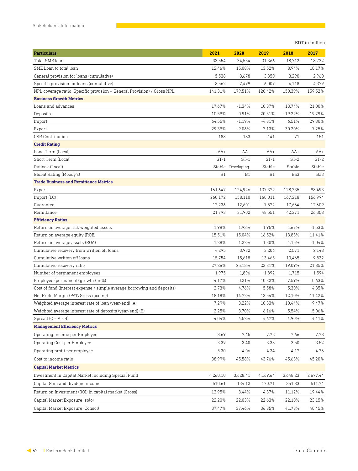BDT in million

| <b>Particulars</b>                                                      | 2021     | 2020       | 2019     | 2018     | 2017     |
|-------------------------------------------------------------------------|----------|------------|----------|----------|----------|
| Total SME loan                                                          | 33,554   | 34,534     | 31,366   | 18,712   | 18,722   |
| SME Loan to total loan                                                  | 12.46%   | 15.08%     | 13.52%   | 8.94%    | 10.17%   |
| General provision for loans (cumulative)                                | 5,538    | 3,678      | 3,350    | 3,290    | 2,960    |
| Specific provision for loans (cumulative)                               | 8,562    | 7,499      | 6,009    | 4,118    | 4,379    |
| NPL coverage ratio (Specific provision + General Provision) / Gross NPL | 141.31%  | 179.51%    | 120.42%  | 150.39%  | 159.52%  |
| <b>Business Growth Metrics</b>                                          |          |            |          |          |          |
| Loans and advances                                                      | 17.67%   | $-1.34%$   | 10.87%   | 13.74%   | 21.00%   |
| Deposits                                                                | 10.59%   | 0.91%      | 20.31%   | 19.29%   | 19.29%   |
| Import                                                                  | 64.55%   | $-1.19%$   | -4.31%   | 6.51%    | 29.30%   |
| Export                                                                  | 29.39%   | $-9.06%$   | 7.13%    | 30.20%   | 7.25%    |
| <b>CSR Contribution</b>                                                 | 188      | 183        | 141      | 71       | 151      |
| <b>Credit Rating</b>                                                    |          |            |          |          |          |
| Long Term (Local)                                                       | $AA+$    | $AA+$      | $AA+$    | $AA+$    | $AA+$    |
| Short Term (Local)                                                      | $ST-1$   | $ST-1$     | $ST-1$   | $ST-2$   | $ST-2$   |
| Outlook (Local)                                                         | Stable   | Developing | Stable   | Stable   | Stable   |
| Global Rating (Moody's)                                                 | B1       | <b>B1</b>  | B1       | Ba3      | Ba3      |
| <b>Trade Business and Remittance Metrics</b>                            |          |            |          |          |          |
| Export                                                                  | 161,647  | 124,926    | 137,379  | 128,235  | 98,493   |
| Import (LC)                                                             | 260,172  | 158,110    | 160,011  | 167,218  | 156,994  |
| Guarantee                                                               | 12,236   | 12,601     | 7,572    | 17,664   | 12,609   |
| Remittance                                                              | 21,793   | 31,902     | 48,551   | 42,371   | 26,358   |
| <b>Efficiency Ratios</b>                                                |          |            |          |          |          |
| Return on average risk weighted assets                                  | 1.98%    | 1.93%      | 1.95%    | 1.67%    | 1.53%    |
| Return on average equity (ROE)                                          | 15.51%   | 15.04%     | 16.52%   | 13.83%   | 11.41%   |
| Return on average assets (ROA)                                          | 1.28%    | 1.22%      | 1.30%    | 1.15%    | 1.04%    |
| Cumulative recovery from written off loans                              | 4,295    | 3,932      | 3,206    | 2,571    | 2,148    |
| Cumulative written off loans                                            | 15,754   | 15,618     | 13,465   | 13,465   | 9,832    |
| Cumulative recovery ratio                                               | 27.26%   | 25.18%     | 23.81%   | 19.09%   | 21.85%   |
| Number of permanent employees                                           | 1,975    | 1,896      | 1,892    | 1,715    | 1,594    |
| Employee (permanent) growth (in %)                                      | 4.17%    | 0.21%      | 10.32%   | 7.59%    | 0.63%    |
| Cost of fund (interest expense / simple average borrowing and deposits) | 2.73%    | 4.76%      | 5.58%    | 5.30%    | 4.35%    |
| Net Profit Margin (PAT/Gross income)                                    | 18.18%   | 14.72%     | 13.54%   | 12.10%   | 11.42%   |
| Weighted average interest rate of loan (year-end) (A)                   | 7.29%    | 8.22%      | 10.83%   | 10.44%   | 9.47%    |
| Weighted average interest rate of deposits (year-end) (B)               | 3.25%    | 3.70%      | 6.16%    | 5.54%    | 5.06%    |
| Spread $(C = A - B)$                                                    | 4.04%    | 4.52%      | 4.67%    | 4.90%    | 4.41%    |
| <b>Management Efficiency Metrics</b>                                    |          |            |          |          |          |
| Operating Income per Employee                                           | 8.69     | 7.45       | 7.72     | 7.66     | 7.78     |
| Operating Cost per Employee                                             | 3.39     | 3.40       | 3.38     | 3.50     | 3.52     |
| Operating profit per employee                                           | 5.30     | 4.06       | 4.34     | 4.17     | 4.26     |
| Cost to income ratio                                                    | 38.99%   | 45.58%     | 43.76%   | 45.63%   | 45.20%   |
| <b>Capital Market Metrics</b>                                           |          |            |          |          |          |
| Investment in Capital Market including Special Fund                     | 4,260.10 | 3,628.41   | 4,169.64 | 3,648.23 | 2,677.44 |
| Capital Gain and dividend income                                        | 510.61   | 134.12     | 170.71   | 351.83   | 511.74   |
| Return on Investment (ROI) in capital market (Gross)                    | 12.95%   | 3.44%      | 4.37%    | 11.12%   | 19.44%   |
| Capital Market Exposure (solo)                                          | 22.20%   | 22.03%     | 22.63%   | 22.10%   | 23.15%   |
| Capital Market Exposure (Consol)                                        | 37.47%   | 37.46%     | 36.85%   | 41.78%   | 40.45%   |
|                                                                         |          |            |          |          |          |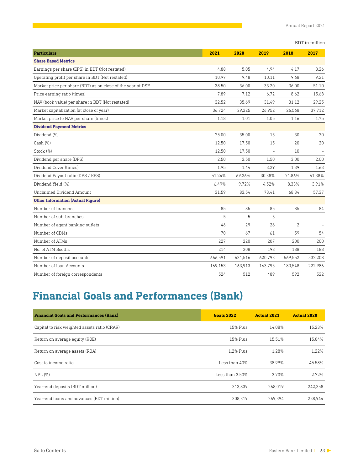| <b>Particulars</b>                                          | 2021    | 2020    | 2019                     | 2018         | 2017    |
|-------------------------------------------------------------|---------|---------|--------------------------|--------------|---------|
| <b>Share Based Metrics</b>                                  |         |         |                          |              |         |
| Earnings per share (EPS) in BDT (Not restated)              | 4.88    | 5.05    | 4.94                     | 4.17         | 3.26    |
| Operating profit per share in BDT (Not restated)            | 10.97   | 9.48    | 10.11                    | 9.68         | 9.21    |
| Market price per share (BDT) as on close of the year at DSE | 38.50   | 36.00   | 33.20                    | 36.00        | 51.10   |
| Price earning ratio (times)                                 | 7.89    | 7.12    | 6.72                     | 8.62         | 15.68   |
| NAV (book value) per share in BDT (Not restated)            | 32.52   | 35.69   | 31.49                    | 31.12        | 29.25   |
| Market capitalization (at close of year)                    | 36.724  | 29,225  | 26,952                   | 26,568       | 37,712  |
| Market price to NAV per share (times)                       | 1.18    | 1.01    | 1.05                     | 1.16         | 1.75    |
| <b>Dividend Payment Metrics</b>                             |         |         |                          |              |         |
| Dividend (%)                                                | 25.00   | 35.00   | 15                       | 30           | 20      |
| Cash (%)                                                    | 12.50   | 17.50   | 15                       | 20           | 20      |
| Stock (%)                                                   | 12.50   | 17.50   | $\overline{\phantom{a}}$ | 10           |         |
| Dividend per share (DPS)                                    | 2.50    | 3.50    | 1.50                     | 3.00         | 2.00    |
| Dividend Cover (times)                                      | 1.95    | 1.44    | 3.29                     | 1.39         | 1.63    |
| Dividend Payout ratio (DPS / EPS)                           | 51.24%  | 69.26%  | 30.38%                   | 71.86%       | 61.38%  |
| Dividend Yield (%)                                          | 6.49%   | 9.72%   | 4.52%                    | 8.33%        | 3.91%   |
| Unclaimed Dividend Amount                                   | 31.59   | 83.54   | 73.41                    | 68.34        | 57.37   |
| <b>Other Information (Actual Figure)</b>                    |         |         |                          |              |         |
| Number of branches                                          | 85      | 85      | 85                       | 85           | 84      |
| Number of sub-branches                                      | 5       | 5       | 3                        |              |         |
| Number of agent banking outlets                             | 46      | 29      | 26                       | $\mathbf{2}$ |         |
| Number of CDMs                                              | 70      | 67      | 61                       | 59           | 54      |
| Number of ATMs                                              | 22.7    | 2.20    | 207                      | 200          | 200     |
| No. of ATM Booths                                           | 214     | 208     | 198                      | 188          | 188     |
| Number of deposit accounts                                  | 666,591 | 631,516 | 620,793                  | 569,552      | 532,208 |
| Number of loan Accounts                                     | 169,153 | 163,913 | 163,795                  | 180,548      | 222,986 |
| Number of foreign correspondents                            | 524     | 512     | 489                      | 592          | 522     |

# **Financial Goals and Performances (Bank)**

| <b>Financial Goals and Performances (Bank)</b> | <b>Goals 2022</b> | <b>Actual 2021</b> | <b>Actual 2020</b> |
|------------------------------------------------|-------------------|--------------------|--------------------|
| Capital to risk weighted assets ratio (CRAR)   | 15% Plus          | 14.08%             | 15.23%             |
| Return on average equity (ROE)                 | 15% Plus          | 15.51%             | 15.04%             |
| Return on average assets (ROA)                 | 1.2% Plus         | 1.28%              | 1.2.2%             |
| Cost to income ratio                           | Less than 40%     | 38.99%             | 45.58%             |
| $NPL(\%)$                                      | Less than 3.50%   | 3.70%              | 2.72%              |
| Year-end deposits (BDT million)                | 313.839           | 268.019            | 242,358            |
| Year-end loans and advances (BDT million)      | 308.319           | 269.394            | 228.944            |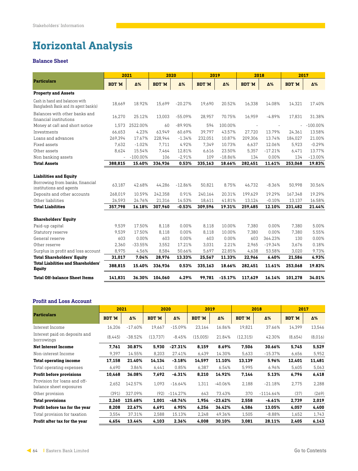## **Horizontal Analysis**

#### **Balance Sheet**

|                                                                         |                          | 2021        | 2020          |           | 2019          |           | 2018          |           |               | 2017        |  |
|-------------------------------------------------------------------------|--------------------------|-------------|---------------|-----------|---------------|-----------|---------------|-----------|---------------|-------------|--|
| <b>Particulars</b>                                                      | <b>BDT 'M</b>            | Δ%          | <b>BDT 'M</b> | Δ%        | <b>BDT 'M</b> | Δ%        | <b>BDT 'M</b> | Δ%        | <b>BDT 'M</b> | Δ%          |  |
| <b>Property and Assets</b>                                              |                          |             |               |           |               |           |               |           |               |             |  |
| Cash in hand and balances with<br>Bangladesh Bank and its agent bank(s) | 18.669                   | 18.92%      | 15.699        | $-20.27%$ | 19.690        | 20.52%    | 16.338        | 14.08%    | 14.321        | 17.40%      |  |
| Balances with other banks and<br>financial institutions                 | 16.270                   | 25.12%      | 13.003        | $-55.09%$ | 28.957        | 70.75%    | 16.959        | $-4.89%$  | 17.831        | 31.38%      |  |
| Money at call and short notice                                          | 1.573                    | 2522.00%    | 60            | $-89.90%$ | 594           | 100.00%   | $\sim$        | $\sim$    |               | $-100.00\%$ |  |
| Investments                                                             | 66.653                   | 4.23%       | 63.949        | 60.69%    | 39.797        | 43.57%    | 27.720        | 13.79%    | 24.361        | 13.58%      |  |
| Loans and advances                                                      | 269,394                  | 17.67%      | 228.944       | $-1.34%$  | 232.051       | 10.87%    | 209.306       | 13.74%    | 184,027       | 21.00%      |  |
| Fixed assets                                                            | 7.632                    | $-1.02%$    | 7.711         | 4.92%     | 7,349         | 10.73%    | 6.637         | 12.06%    | 5,923         | $-0.29%$    |  |
| Other assets                                                            | 8.624                    | 15.54%      | 7.464         | 12.81%    | 6.616         | 23.50%    | 5.357         | $-17.21%$ | 6.471         | 13.77%      |  |
| Non banking assets                                                      | $\overline{\phantom{0}}$ | $-100.00\%$ | 106           | $-2.91%$  | 109           | $-18.86%$ | 134           | 0.00%     | 134           | $-13.00%$   |  |
| <b>Total Assets</b>                                                     | 388,815                  | 15.40%      | 336,936       | 0.53%     | 335,163       | 18.66%    | 282,451       | 11.61%    | 253,068       | 19.83%      |  |
| <b>Liabilities and Equity</b>                                           |                          |             |               |           |               |           |               |           |               |             |  |
| Borrowing from banks, financial<br>institutions and agents              | 63.187                   | 42.68%      | 44.286        | $-12.86%$ | 50.821        | 8.75%     | 46.732        | $-8.36%$  | 50.998        | 30.56%      |  |
| Deposits and other accounts                                             | 268.019                  | 10.59%      | 242.358       | 0.91%     | 240.164       | 20.31%    | 199.629       | 19.29%    | 167.348       | 19.29%      |  |
| Other liabilities                                                       | 26.593                   | 24.76%      | 21,316        | 14.53%    | 18,611        | 41.81%    | 13.124        | $-0.10%$  | 13,137        | 16.58%      |  |
| <b>Total Liabilities</b>                                                | 357,798                  | 16.18%      | 307,960       | $-0.53%$  | 309,596       | 19.31%    | 259,485       | 12.10%    | 231,482       | 21.44%      |  |
| <b>Shareholders' Equity</b>                                             |                          |             |               |           |               |           |               |           |               |             |  |
| Paid-up capital                                                         | 9.539                    | 17.50%      | 8,118         | 0.00%     | 8,118         | 10.00%    | 7,380         | 0.00%     | 7,380         | 5.00%       |  |
| Statutory reserve                                                       | 9,539                    | 17.50%      | 8,118         | 0.00%     | 8,118         | 10.00%    | 7,380         | 0.00%     | 7,380         | 5.55%       |  |
| General reserve                                                         | 603                      | 0.00%       | 603           | 0.00%     | 603           | 0.00%     | 603           | 364.23%   | 130           | 0.00%       |  |
| Other reserve                                                           | 2,360                    | $-33.55%$   | 3,552         | 17.21%    | 3,031         | 2.21%     | 2,965         | $-19.34%$ | 3,676         | 0.18%       |  |
| Surplus in profit and loss account                                      | 8,975                    | 4.56%       | 8,584         | 50.66%    | 5,697         | 22.85%    | 4,638         | 53.58%    | 3,020         | 9.73%       |  |
| <b>Total Shareholders' Equity</b>                                       | 31.017                   | 7.04%       | 28,976        | 13.33%    | 25,567        | 11.33%    | 22.966        | 6.40%     | 21,586        | 4.93%       |  |
| <b>Total Liabilities and Shareholders'</b><br><b>Equity</b>             | 388,815                  | 15.40%      | 336,936       | 0.53%     | 335,163       | 18.66%    | 282.451       | 11.61%    | 253,068       | 19.83%      |  |
| <b>Total Off-balance Sheet Items</b>                                    | 141.831                  | 36.30%      | 104.060       | 4.29%     | 99.781        | $-15.17%$ | 117.629       | 16.14%    | 101.278       | 34.01%      |  |

### **Profit and Loss Account**

|                                                         | 2021          |           | 2020          |            | 2019          |            | 2018          |             | 2017          |         |
|---------------------------------------------------------|---------------|-----------|---------------|------------|---------------|------------|---------------|-------------|---------------|---------|
| <b>Particulars</b>                                      | <b>BDT 'M</b> | Δ%        | <b>BDT 'M</b> | Δ%         | <b>BDT 'M</b> | Δ%         | <b>BDT 'M</b> | Δ%          | <b>BDT 'M</b> | Δ%      |
| Interest Income                                         | 16.206        | $-17.60%$ | 19.667        | $-15.09%$  | 23,164        | 16.86%     | 19,821        | 37.66%      | 14,399        | 13,546  |
| Interest paid on deposits and<br>borrowings             | (8,445)       | $-38.52%$ | (13.737)      | $-8.45%$   | (15,005)      | 21.84%     | (12.315)      | 42.30%      | (8,654)       | (8,016) |
| <b>Net Interest Income</b>                              | 7,761         | 30.87%    | 5,930         | $-27.31%$  | 8,159         | 8.69%      | 7,506         | 30.66%      | 5,745         | 5,529   |
| Non-interest Income                                     | 9.397         | 14.55%    | 8,203         | 27.41%     | 6,439         | 14.30%     | 5,633         | $-15.37%$   | 6,656         | 5,952   |
| <b>Total operating income</b>                           | 17,158        | 21.40%    | 14,134        | $-3.18%$   | 14,597        | 11.10%     | 13,139        | 5.96%       | 12,401        | 11,481  |
| Total operating expenses                                | 6.690         | 3.86%     | 6.441         | 0.85%      | 6,387         | 6.54%      | 5,995         | 6.96%       | 5,605         | 5,063   |
| <b>Profit before provisions</b>                         | 10,468        | 36.08%    | 7,692         | $-6.31%$   | 8,210         | 14.92%     | 7,144         | 5.13%       | 6,796         | 6,418   |
| Provision for loans and off-<br>balance sheet exposures | 2,652         | 142.57%   | 1,093         | $-16.64%$  | 1,311         | $-40.06%$  | 2,188         | $-21.18%$   | 2,775         | 2,288   |
| Other provision                                         | (391)         | 327.09%   | (92)          | $-114.27%$ | 643           | 73.43%     | 370           | $-1114.64%$ | (37)          | (269)   |
| <b>Total provisions</b>                                 | 2,260         | 125.68%   | 1,001         | $-48.74%$  | 1,954         | $-23.62\%$ | 2,558         | -6.61%      | 2,739         | 2,019   |
| Profit before tax for the year                          | 8,208         | 22.67%    | 6,691         | 6.95%      | 6,256         | 36.42%     | 4,586         | 13.05%      | 4,057         | 4,400   |
| Total provision for taxation                            | 3.554         | 37.31%    | 2,588         | 15.13%     | 2,248         | 49.36%     | 1,505         | $-8.88%$    | 1,652         | 1,743   |
| Profit after tax for the year                           | 4,654         | 13.44%    | 4,103         | 2.36%      | 4,008         | 30.10%     | 3,081         | 28.11%      | 2,405         | 6,143   |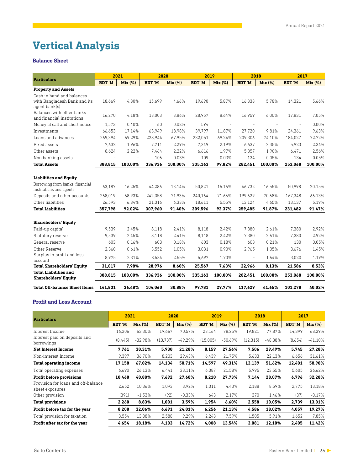# **Vertical Analysis**

#### **Balance Sheet**

|                                                             | 2021          |                | 2020          |         | 2019          |         | 2018                     |         | 2017          |         |  |
|-------------------------------------------------------------|---------------|----------------|---------------|---------|---------------|---------|--------------------------|---------|---------------|---------|--|
| <b>Particulars</b>                                          | <b>BDT 'M</b> | <b>Mix (%)</b> | <b>BDT 'M</b> | Mix (%) | <b>BDT 'M</b> | Mix (%) | <b>BDT 'M</b>            | Mix (%) | <b>BDT 'M</b> | Mix (%) |  |
| <b>Property and Assets</b>                                  |               |                |               |         |               |         |                          |         |               |         |  |
| Cash in hand and balances                                   |               |                |               |         |               |         |                          |         |               |         |  |
| with Bangladesh Bank and its<br>agent bank(s)               | 18,669        | 4.80%          | 15,699        | 4.66%   | 19,690        | 5.87%   | 16,338                   | 5.78%   | 14,321        | 5.66%   |  |
| Balances with other banks<br>and financial institutions     | 16.270        | 4.18%          | 13,003        | 3.86%   | 28,957        | 8.64%   | 16,959                   | 6.00%   | 17,831        | 7.05%   |  |
| Money at call and short notice                              | 1.573         | 0.40%          | 60            | 0.02%   | 594           |         |                          |         | $\sim$        | 0.00%   |  |
| Investments                                                 | 66.653        | 17.14%         | 63.949        | 18.98%  | 39.797        | 11.87%  | 27.720                   | 9.81%   | 24.361        | 9.63%   |  |
| Loans and advances                                          | 269,394       | 69.29%         | 228,944       | 67.95%  | 232,051       | 69.24%  | 209,306                  | 74.10%  | 184,027       | 72.72%  |  |
| Fixed assets                                                | 7,632         | 1.96%          | 7.711         | 2.29%   | 7,349         | 2.19%   | 6,637                    | 2.35%   | 5,923         | 2.34%   |  |
| Other assets                                                | 8,624         | 2.22%          | 7,464         | 2.22%   | 6,616         | 1.97%   | 5,357                    | 1.90%   | 6,471         | 2.56%   |  |
| Non banking assets                                          |               |                | 106           | 0.03%   | 109           | 0.03%   | 134                      | 0.05%   | 134           | 0.05%   |  |
| <b>Total Assets</b>                                         | 388,815       | 100.00%        | 336,936       | 100.00% | 335,163       | 99.82%  | 282,451                  | 100.00% | 253,068       | 100.00% |  |
| <b>Liabilities and Equity</b>                               |               |                |               |         |               |         |                          |         |               |         |  |
| Borrowing from banks, financial<br>institutions and agents  | 63.187        | 16.25%         | 44.286        | 13.14%  | 50.821        | 15.16%  | 46.732                   | 16.55%  | 50,998        | 20.15%  |  |
| Deposits and other accounts                                 | 268,019       | 68.93%         | 242,358       | 71.93%  | 240,164       | 71.66%  | 199.629                  | 70.68%  | 167,348       | 66.13%  |  |
| Other liabilities                                           | 26,593        | 6.84%          | 21,316        | 6.33%   | 18,611        | 5.55%   | 13,124                   | 4.65%   | 13,137        | 5.19%   |  |
| <b>Total Liabilities</b>                                    | 357,798       | 92.02%         | 307,960       | 91.40%  | 309,596       | 92.37%  | 259,485                  | 91.87%  | 231,482       | 91.47%  |  |
| <b>Shareholders' Equity</b>                                 |               |                |               |         |               |         |                          |         |               |         |  |
| Paid-up capital                                             | 9,539         | 2.45%          | 8,118         | 2.41%   | 8,118         | 2.42%   | 7,380                    | 2.61%   | 7,380         | 2.92%   |  |
| Statutory reserve                                           | 9.539         | 2.45%          | 8.118         | 2.41%   | 8.118         | 2.42%   | 7.380                    | 2.61%   | 7.380         | 2.92%   |  |
| General reserve                                             | 603           | 0.16%          | 603           | 0.18%   | 603           | 0.18%   | 603                      | 0.21%   | 130           | 0.05%   |  |
| Other Reserve                                               | 2,360         | 0.61%          | 3,552         | 1.05%   | 3,031         | 0.90%   | 2,965                    | 1.05%   | 3,676         | 1.45%   |  |
| Surplus in profit and loss<br>account                       | 8,975         | 2.31%          | 8,584         | 2.55%   | 5,697         | 1.70%   | $\overline{\phantom{a}}$ | 1.64%   | 3,020         | 1.19%   |  |
| <b>Total Shareholders' Equity</b>                           | 31.017        | 7.98%          | 28,976        | 8.60%   | 25,567        | 7.63%   | 22.966                   | 8.13%   | 21,586        | 8.53%   |  |
| <b>Total Liabilities and</b><br><b>Shareholders' Equity</b> | 388,815       | 100.00%        | 336,936       | 100.00% | 335,163       | 100.00% | 282,451                  | 100.00% | 253,068       | 100.00% |  |
| <b>Total Off-balance Sheet Items</b>                        | 141.831       | 36.48%         | 104.060       | 30.88%  | 99.781        | 29.77%  | 117.629                  | 41.65%  | 101.278       | 40.02%  |  |

#### **Profit and Loss Account**

| <b>Particulars</b>                                     | 2021          |           | 2020          |           | 2019          |           | 2018          |           | 2017          |           |
|--------------------------------------------------------|---------------|-----------|---------------|-----------|---------------|-----------|---------------|-----------|---------------|-----------|
|                                                        | <b>BDT 'M</b> | Mix (%)   | <b>BDT 'M</b> | Mix (%)   | <b>BDT 'M</b> | Mix (%)   | <b>BDT 'M</b> | Mix (%)   | <b>BDT 'M</b> | Mix (%)   |
| Interest Income                                        | 16,206        | 63.30%    | 19.667        | 70.57%    | 23.164        | 78.25%    | 19.821        | 77.87%    | 14.399        | 68.39%    |
| Interest paid on deposits and<br>borrowings            | (8,445)       | $-32.98%$ | (13.737)      | $-49.29%$ | (15,005)      | $-50.69%$ | (12, 315)     | $-48.38%$ | (8,654)       | $-41.10%$ |
| <b>Net Interest Income</b>                             | 7,761         | 30.31%    | 5,930         | 21.28%    | 8,159         | 27.56%    | 7,506         | 29.49%    | 5,745         | 27.28%    |
| Non-interest Income                                    | 9,397         | 36.70%    | 8,203         | 29.43%    | 6,439         | 21.75%    | 5,633         | 22.13%    | 6,656         | 31.61%    |
| <b>Total operating income</b>                          | 17,158        | 67.02%    | 14,134        | 50.71%    | 14,597        | 49.31%    | 13,139        | 51.62%    | 12,401        | 58.90%    |
| Total operating expenses                               | 6,690         | 26.13%    | 6,441         | 23.11%    | 6,387         | 21.58%    | 5,995         | 23.55%    | 5,605         | 26.62%    |
| <b>Profit before provisions</b>                        | 10,468        | 40.88%    | 7,692         | 27.60%    | 8,210         | 27.73%    | 7,144         | 28.07%    | 6,796         | 32.28%    |
| Provision for loans and off-balance<br>sheet exposures | 2,652         | 10.36%    | 1,093         | 3.92%     | 1,311         | 4.43%     | 2,188         | 8.59%     | 2,775         | 13.18%    |
| Other provision                                        | (391)         | $-1.53%$  | (92)          | $-0.33%$  | 643           | 2.17%     | 370           | 1.46%     | (37)          | $-0.17%$  |
| <b>Total provisions</b>                                | 2.260         | 8.83%     | 1.001         | 3.59%     | 1,954         | 6.60%     | 2.558         | 10.05%    | 2.739         | 13.01%    |
| Profit before tax for the year                         | 8,208         | 32.06%    | 6,691         | 24.01%    | 6,256         | 21.13%    | 4,586         | 18.02%    | 4,057         | 19.27%    |
| Total provision for taxation                           | 3,554         | 13.88%    | 2,588         | 9.29%     | 2,248         | 7.59%     | 1,505         | 5.91%     | 1,652         | 7.85%     |
| Profit after tax for the year                          | 4.654         | 18.18%    | 4,103         | 14.72%    | 4.008         | 13.54%    | 3.081         | 12.10%    | 2,405         | 11.42%    |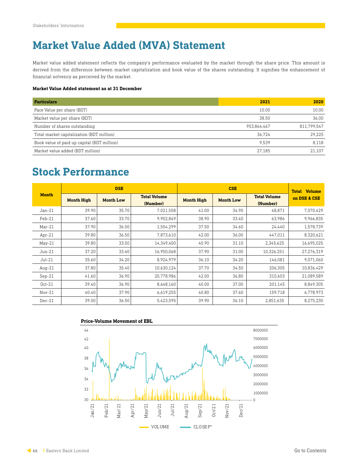### **Market Value Added (MVA) Statement**

Market value added statement reflects the company's performance evaluated by the market through the share price. This amount is derived from the difference between market capitalization and book value of the shares outstanding. It signifies the enhancement of financial solvency as perceived by the market.

#### **Market Value Added statement as at 31 December**

| <b>Particulars</b>                          | 2021        | 2020        |
|---------------------------------------------|-------------|-------------|
| Face Value per share (BDT)                  | 10.00       | 10.00       |
| Market value per share (BDT)                | 38.50       | 36.00       |
| Number of shares outstanding                | 953,864,467 | 811.799.547 |
| Total market capitalization (BDT million)   | 36.724      | 29.225      |
| Book value of paid up capital (BDT million) | 9.539       | 8.118       |
| Market value added (BDT million)            | 27.185      | 21.107      |

### **Stock Performance**

|              | <b>DSE</b>        |                  | <b>CSE</b>                      |                   |                  | <b>Volume</b><br><b>Total</b>   |              |
|--------------|-------------------|------------------|---------------------------------|-------------------|------------------|---------------------------------|--------------|
| <b>Month</b> | <b>Month High</b> | <b>Month Low</b> | <b>Total Volume</b><br>(Number) | <b>Month High</b> | <b>Month Low</b> | <b>Total Volume</b><br>(Number) | on DSE & CSE |
| $Jan-21$     | 39.90             | 35.70            | 7,021,558                       | 41.00             | 34.90            | 48,871                          | 7,070,429    |
| Feb-21       | 37.60             | 33.70            | 9,902,849                       | 38.90             | 33.40            | 63,986                          | 9,966,835    |
| $Mar-21$     | 37.90             | 36.00            | 1,554,299                       | 37.50             | 34.60            | 24,440                          | 1,578,739    |
| $Apr-21$     | 39.80             | 36.50            | 7,873,610                       | 42.00             | 36.00            | 447,011                         | 8,320,621    |
| $May-21$     | 39.80             | 33.50            | 14,349,400                      | 40.90             | 31.10            | 2,345,625                       | 16,695,025   |
| $Jun-21$     | 37.20             | 33.60            | 16,950,068                      | 37.90             | 31.00            | 10,326,251                      | 27.276.319   |
| $Jul-21$     | 35.60             | 34.20            | 8,924,979                       | 36.10             | 34.20            | 146,081                         | 9,071,060    |
| Aug- $21$    | 37.80             | 35.40            | 10,630,124                      | 37.70             | 34.50            | 206.305                         | 10.836.429   |
| $Sep-21$     | 41.60             | 36.90            | 20,778,986                      | 42.00             | 36.80            | 310,603                         | 21,089,589   |
| $Oct-21$     | 39.40             | 36.90            | 8,648,160                       | 40.00             | 37.00            | 201.145                         | 8.849.305    |
| $Nov-21$     | 40.40             | 37.90            | 6,619,255                       | 40.80             | 37.60            | 159,718                         | 6,778,973    |
| $Dec-21$     | 39.00             | 36.50            | 5,423,595                       | 39.90             | 36.10            | 2,851,635                       | 8,275,230    |

#### **Price-Volume Movement of EBL**

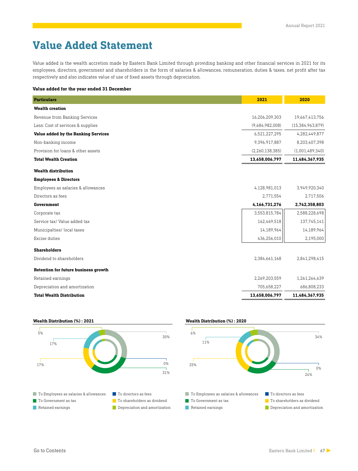### **Value Added Statement**

Value added is the wealth accretion made by Eastern Bank Limited through providing banking and other financial services in 2021 for its employees, directors, government and shareholders in the form of salaries & allowances, remuneration, duties & taxes, net profit after tax respectively and also indicates value of use of fixed assets through depreciation.

#### **Value added for the year ended 31 December**

| <b>Particulars</b>                          | 2021            | 2020                |
|---------------------------------------------|-----------------|---------------------|
| <b>Wealth creation</b>                      |                 |                     |
| Revenue from Banking Services               | 16,206,209,303  | 19,667,413,756      |
| Less: Cost of services & supplies           | (9,684,982,008) | (15, 384, 963, 879) |
| Value added by the Banking Services         | 6,521,227,295   | 4,282,449,877       |
| Non-banking income                          | 9,396,917,887   | 8,203,407,398       |
| Provision for loans & other assets          | (2,260,138,385) | (1,001,489,340)     |
| <b>Total Wealth Creation</b>                | 13,658,006,797  | 11,484,367,935      |
| <b>Wealth distribution</b>                  |                 |                     |
| <b>Employees &amp; Directors</b>            |                 |                     |
| Employees as salaries & allowances          | 4,128,981,013   | 3,949,920,340       |
| Directors as fees                           | 2,771,554       | 2,717,506           |
| Government                                  | 4,166,731,276   | 2,742,358,803       |
| Corporate tax                               | 3,553,815,784   | 2,588,228,698       |
| Service tax/ Value added tax                | 162,469,518     | 137,745,141         |
| Municipalties/local taxes                   | 14,189,964      | 14,189,964          |
| Excise duties                               | 436,256,010     | 2,195,000           |
| <b>Shareholders</b>                         |                 |                     |
| Dividend to shareholders                    | 2,384,661,168   | 2,841,298,415       |
| <b>Retention for future business growth</b> |                 |                     |
| Retained earnings                           | 2,269,203,559   | 1,261,264,639       |
| Depreciation and amortization               | 705,658,227     | 686,808,233         |
| <b>Total Wealth Distribution</b>            | 13,658,006,797  | 11,484,367,935      |





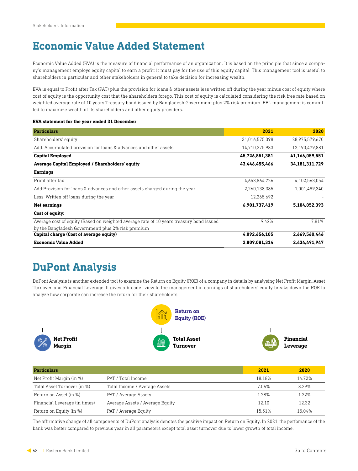### **Economic Value Added Statement**

Economic Value Added (EVA) is the measure of financial performance of an organization. It is based on the principle that since a company's management employs equity capital to earn a profit; it must pay for the use of this equity capital. This management tool is useful to shareholders in particular and other stakeholders in general to take decision for increasing wealth.

EVA is equal to Profit after Tax (PAT) plus the provision for loans & other assets less written off during the year minus cost of equity where cost of equity is the opportunity cost that the shareholders forego. This cost of equity is calculated considering the risk free rate based on weighted average rate of 10 years Treasury bond issued by Bangladesh Government plus 2% risk premium. EBL management is committed to maximize wealth of its shareholders and other equity providers.

#### **EVA statement for the year ended 31 December**

| <b>Particulars</b>                                                                      | 2021           | 2020           |
|-----------------------------------------------------------------------------------------|----------------|----------------|
| Shareholders' equity                                                                    | 31,016,575,398 | 28,975,579,670 |
| Add: Accumulated provision for loans & advances and other assets                        | 14,710,275,983 | 12,190,479,881 |
| <b>Capital Employed</b>                                                                 | 45,726,851,381 | 41,166,059,551 |
| Average Capital Employed / Shareholders' equity                                         | 43,446,455,466 | 34,181,311,729 |
| <b>Earnings</b>                                                                         |                |                |
| Profit after tax                                                                        | 4,653,864,726  | 4,102,563,054  |
| Add:Provision for loans & advances and other assets charged during the year             | 2,260,138,385  | 1,001,489,340  |
| Less: Written off loans during the year                                                 | 12,265,692     |                |
| <b>Net earnings</b>                                                                     | 6,901,737,419  | 5,104,052,393  |
| Cost of equity:                                                                         |                |                |
| Average cost of equity (Based on weighted average rate of 10 years treasury bond issued | 9.42%          | 7.81%          |
| by the Bangladesh Government) plus 2% risk premium                                      |                |                |
| Capital charge (Cost of average equity)                                                 | 4,092,656,105  | 2,669,560,446  |
| <b>Economic Value Added</b>                                                             | 2,809,081,314  | 2.434.491.947  |

### **DuPont Analysis**

DuPont Analysis is another extended tool to examine the Return on Equity (ROE) of a company in details by analysing Net Profit Margin, Asset Turnover, and Financial Leverage. It gives a broader view to the management in earnings of shareholders' equity breaks down the ROE to analyze how corporate can increase the return for their shareholders.



| <b>Particulars</b>            |                                 | 2021   | 2020   |
|-------------------------------|---------------------------------|--------|--------|
| Net Profit Margin (in %)      | PAT / Total Income              | 18.18% | 14.72% |
| Total Asset Turnover (in %)   | Total Income / Average Assets   | 7.06%  | 8.29%  |
| Return on Asset (in %)        | PAT / Average Assets            | 1.28%  | 1.22%  |
| Financial Leverage (in times) | Average Assets / Average Equity | 12.10  | 12.32  |
| Return on Equity (in %)       | PAT / Average Equity            | 15.51% | 15.04% |

The affirmative change of all components of DuPont analysis denotes the positive impact on Return on Equity. In 2021, the perfomance of the bank was better compared to previous year in all parameters except total asset turnover due to lower growth of total income.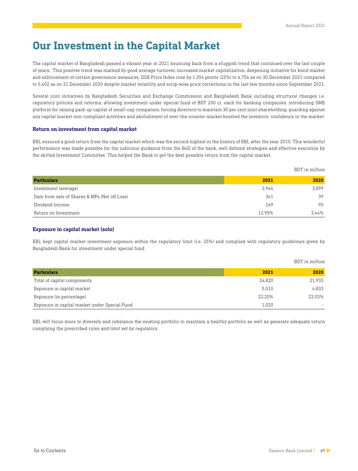BDT in million

### **Our Investment in the Capital Market**

The capital market of Bangladesh passed a vibrant year in 2021 bouncing back from a sluggish trend that continued over the last couple of years. This positive trend was marked by good average turnover, increased market capitalization, deepening initiative for bond market and enforcement of certain governance measures. DSE Price Index rose by 1,354 points (25%) to 6,756 as on 30 December 2021 compared to 5,402 as on 31 December 2020 despite market volatility and scrip-wise price corrections in the last few months since September 2021.

Several joint initiatives by Bangladesh Securities and Exchange Commission and Bangladesh Bank including structural changes i.e. regulatory policies and reforms, allowing investment under special fund of BDT 200 cr. each for banking companies, introducing SME platform for raising paid-up capital of small-cap companies, forcing directors to maintain 30 per cent joint shareholding, guarding against any capital market non-compliant activities and abolishment of over-the-counter market boosted the investors' confidence in the market.

#### **Return on investment from capital market**

EBL ensured a good return from the capital market which was the second highest in the history of EBL after the year 2010. This wonderful performance was made possible for the judicious guidance from the BoD of the bank, well defined strategies and effective execution by the skilled Investment Committee. This helped the Bank to get the best possible return from the capital market.

|                                               |        | ____________________ |
|-----------------------------------------------|--------|----------------------|
| <b>Particulars</b>                            | 2021   | 2020                 |
| Investment (average)                          | 3.944  | 3,899                |
| Gain from sale of Shares & MFs (Net off Loss) | 341    | 39                   |
| Dividend Income                               | 169    | 95                   |
| Return on Investment                          | 12.95% | 3.44%                |

#### **Exposure in capital market (solo)**

EBL kept capital market investment exposure within the regulatory limit (i.e. 25%) and complied with regulatory guidelines given by Bangladesh Bank for investment under special fund.

|                                               |        | BDT in million |
|-----------------------------------------------|--------|----------------|
| <b>Particulars</b>                            | 2021   | 2020           |
| Total of capital components                   | 24.820 | 21,933         |
| Exposure in capital market                    | 5,510  | 4,833          |
| Exposure (in percentage)                      | 22.20% | 22.03%         |
| Exposure in capital market under Special Fund | 1,020  |                |

EBL will focus more to diversify and rebalance the existing portfolio to maintain a healthy portfolio as well as generate adequate return complying the prescribed rules and limit set by regulators.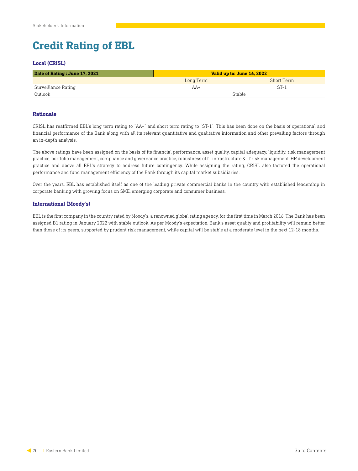### **Credit Rating of EBL**

#### **Local (CRISL)**

| Date of Rating : June 17, 2021 | Valid up to: June 16, 2022 |            |  |
|--------------------------------|----------------------------|------------|--|
|                                | Long Term                  | Short Term |  |
| Surveillance Rating            | $AA+$                      | $ST - i$   |  |
| Outlook                        | Stable                     |            |  |

#### **Rationale**

CRISL has reaffirmed EBL's long term rating to "AA+" and short term rating to "ST-1". This has been done on the basis of operational and financial performance of the Bank along with all its relevant quantitative and qualitative information and other prevailing factors through an in-depth analysis.

The above ratings have been assigned on the basis of its financial performance, asset quality, capital adequacy, liquidity, risk management practice, portfolio management, compliance and governance practice, robustness of IT infrastructure & IT risk management, HR development practice and above all EBL's strategy to address future contingency. While assigning the rating, CRISL also factored the operational performance and fund management efficiency of the Bank through its capital market subsidiaries.

Over the years, EBL has established itself as one of the leading private commercial banks in the country with established leadership in corporate banking with growing focus on SME, emerging corporate and consumer business.

#### **International (Moody's)**

EBL is the first company in the country rated by Moody's, a renowned global rating agency, for the first time in March 2016. The Bank has been assigned B1 rating in January 2022 with stable outlook. As per Moody's expectation, Bank's asset quality and profitability will remain better than those of its peers, supported by prudent risk management, while capital will be stable at a moderate level in the next 12-18 months.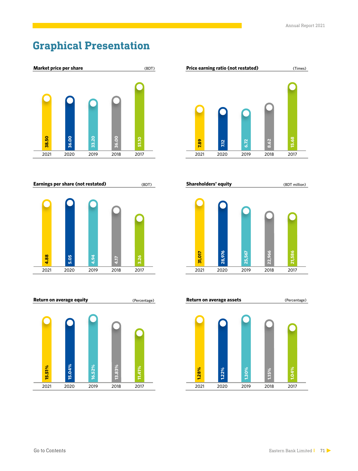### **Graphical Presentation**



**Earnings per share (not restated)**







**Shareholders' equity**

(BDT)

(BDT million)



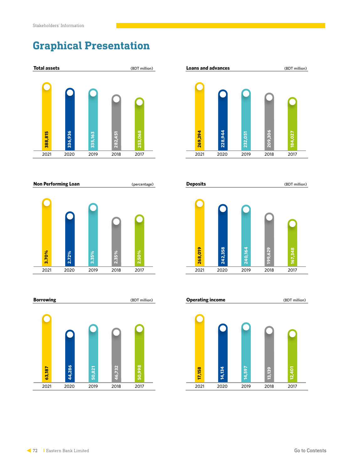# **Graphical Presentation**



**Non Performing Loan** (*percentage*)







2020 2021 2019 2018 2017 **Deposits** (BDT million) **268,019 242,358 240,164 199,629 167,348**

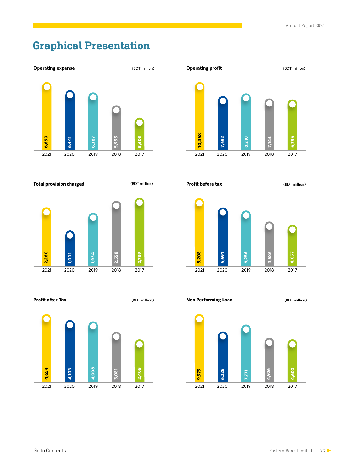### **Graphical Presentation**



**Total provision charged** (BDT million)







**Profit before tax** (BDT million)



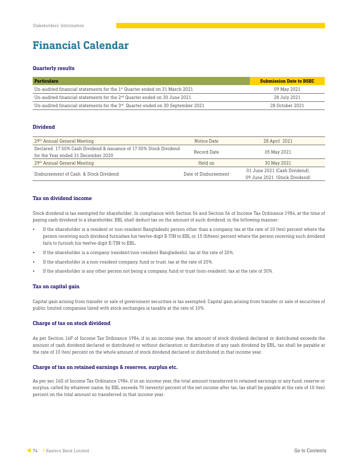### **Financial Calendar**

#### **Quarterly results**

| <b>Particulars</b>                                                               | <b>Submission Date to BSEC</b> |
|----------------------------------------------------------------------------------|--------------------------------|
| Un-audited financial statements for the $1st$ Quarter ended on 31 March 2021     | 09 May 2021                    |
| Un-audited financial statements for the $2nd$ Quarter ended on 30 June 2021      | 28 July 2021                   |
| Un-audited financial statements for the $3rd$ Quarter ended on 30 September 2021 | 28 October 2021                |

#### **Dividend**

| 29 <sup>th</sup> Annual General Meeting                           | Notice Date          | 28 April 2021                 |  |
|-------------------------------------------------------------------|----------------------|-------------------------------|--|
| Declared 17.50% Cash Dividend & issuance of 17.50% Stock Dividend | Record Date          | 05 May 2021                   |  |
| for the Year ended 31 December 2020                               |                      |                               |  |
| 29th Annual General Meeting                                       | Held on              | 30 May 2021                   |  |
| Disbursement of Cash & Stock Dividend                             | Date of Disbursement | 01 June 2021 (Cash Dividend). |  |
|                                                                   |                      | 09 June 2021 (Stock Dividend) |  |

#### **Tax on dividend income**

Stock dividend is tax exempted for shareholder. In compliance with Section 54 and Section 56 of Income Tax Ordinance 1984, at the time of paying cash dividend to a shareholder, EBL shall deduct tax on the amount of such dividend, in the following manner:

- If the shareholder is a resident or non-resident Bangladeshi person other than a company, tax at the rate of 10 (ten) percent where the person receiving such dividend furnishes his twelve-digit E-TIN to EBL or 15 (fifteen) percent where the person receiving such dividend fails to furnish his twelve-digit E-TIN to EBL.
- If the shareholder is a company (resident/non-resident Bangladeshi), tax at the rate of 20%.
- If the shareholder is a non-resident company, fund or trust, tax at the rate of 20%.
- If the shareholder is any other person not being a company, fund or trust (non-resident), tax at the rate of 30%.

#### **Tax on capital gain**

Capital gain arising from transfer or sale of government securities is tax exempted. Capital gain arising from transfer or sale of securities of public limited companies listed with stock exchanges is taxable at the rate of 10%.

#### **Charge of tax on stock dividend**

As per Section 16F of Income Tax Ordinance 1984, if in an income year, the amount of stock dividend declared or distributed exceeds the amount of cash dividend declared or distributed or without declaration or distribution of any cash dividend by EBL, tax shall be payable at the rate of 10 (ten) percent on the whole amount of stock dividend declared or distributed in that income year.

#### **Charge of tax on retained earnings & reserves, surplus etc.**

As per sec 16G of Income Tax Ordinance 1984, if in an income year, the total amount transferred to retained earnings or any fund, reserve or surplus, called by whatever name, by EBL exceeds 70 (seventy) percent of the net income after tax, tax shall be payable at the rate of 10 (ten) percent on the total amount so transferred in that income year.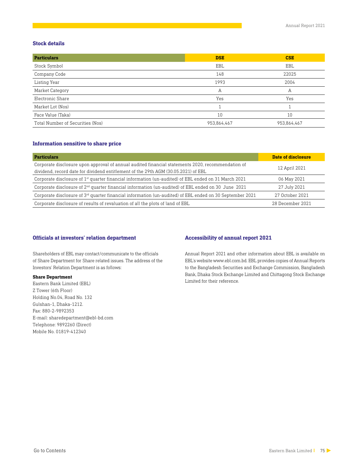#### **Stock details**

| <b>Particulars</b>               | <b>DSE</b>  | <b>CSE</b>  |
|----------------------------------|-------------|-------------|
| Stock Symbol                     | EBL         | EBL         |
| Company Code                     | 148         | 22025       |
| Listing Year                     | 1993        | 2004        |
| Market Category                  | Α           | Α           |
| Electronic Share                 | Yes         | Yes         |
| Market Lot (Nos)                 |             |             |
| Face Value (Taka)                | 10          | 10          |
| Total Number of Securities (Nos) | 953,864,467 | 953,864,467 |

#### **Information sensitive to share price**

| <b>Particulars</b>                                                                                                                                                                      | Date of disclosure |
|-----------------------------------------------------------------------------------------------------------------------------------------------------------------------------------------|--------------------|
| Corporate disclosure upon approval of annual audited financial statements 2020, recommendation of<br>dividend, record date for dividend entitlement of the 29th AGM (30.05.2021) of EBL | 12 April 2021      |
| Corporate disclosure of $1st$ quarter financial information (un-audited) of EBL ended on 31 March 2021                                                                                  | 06 May 2021        |
| Corporate disclosure of $2nd$ quarter financial information (un-audited) of EBL ended on 30 June 2021                                                                                   | 27 July 2021       |
| Corporate disclosure of $3rd$ quarter financial information (un-audited) of EBL ended on 30 September 2021                                                                              | 27 October 2021    |
| Corporate disclosure of results of revaluation of all the plots of land of EBL                                                                                                          | 28 December 2021   |

#### **Officials at investors' relation department Accessibility of annual report 2021**

Shareholders of EBL may contact/communicate to the officials of Share Department for Share related issues. The address of the Investors' Relation Department is as follows:

#### **Share Department**

Eastern Bank Limited (EBL) Z Tower (6th Floor) Holding No.04, Road No. 132 Gulshan-1, Dhaka-1212. Fax: 880-2-9892353 E-mail: sharedepartment@ebl-bd.com Telephone: 9892260 (Direct) Mobile No. 01819-412340

Annual Report 2021 and other information about EBL is available on EBL's website www.ebl.com.bd. EBL provides copies of Annual Reports to the Bangladesh Securities and Exchange Commission, Bangladesh Bank, Dhaka Stock Exchange Limited and Chittagong Stock Exchange Limited for their reference.